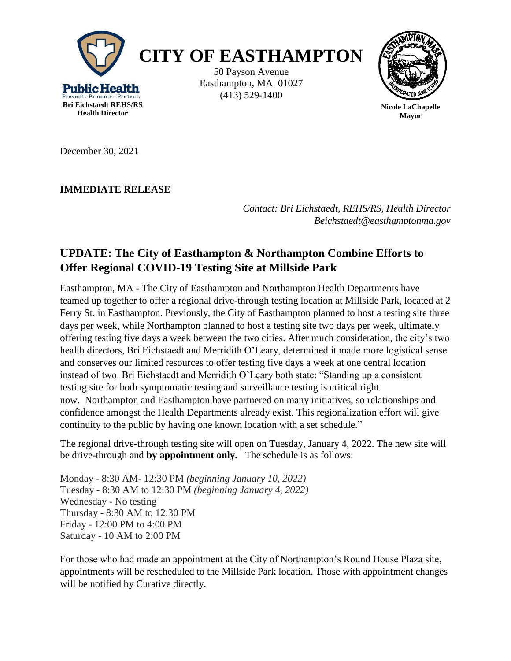

December 30, 2021

**IMMEDIATE RELEASE**

*Contact: Bri Eichstaedt, REHS/RS, Health Director Beichstaedt@easthamptonma.gov*

## **UPDATE: The City of Easthampton & Northampton Combine Efforts to Offer Regional COVID-19 Testing Site at Millside Park**

Easthampton, MA - The City of Easthampton and Northampton Health Departments have teamed up together to offer a regional drive-through testing location at Millside Park, located at 2 Ferry St. in Easthampton. Previously, the City of Easthampton planned to host a testing site three days per week, while Northampton planned to host a testing site two days per week, ultimately offering testing five days a week between the two cities. After much consideration, the city's two health directors, Bri Eichstaedt and Merridith O'Leary, determined it made more logistical sense and conserves our limited resources to offer testing five days a week at one central location instead of two. Bri Eichstaedt and Merridith O'Leary both state: "Standing up a consistent testing site for both symptomatic testing and surveillance testing is critical right now. Northampton and Easthampton have partnered on many initiatives, so relationships and confidence amongst the Health Departments already exist. This regionalization effort will give continuity to the public by having one known location with a set schedule."

The regional drive-through testing site will open on Tuesday, January 4, 2022. The new site will be drive-through and **by appointment only.** The schedule is as follows:

Monday - 8:30 AM- 12:30 PM *(beginning January 10, 2022)* Tuesday - 8:30 AM to 12:30 PM *(beginning January 4, 2022)* Wednesday - No testing Thursday - 8:30 AM to 12:30 PM Friday - 12:00 PM to 4:00 PM Saturday - 10 AM to 2:00 PM

For those who had made an appointment at the City of Northampton's Round House Plaza site, appointments will be rescheduled to the Millside Park location. Those with appointment changes will be notified by Curative directly.